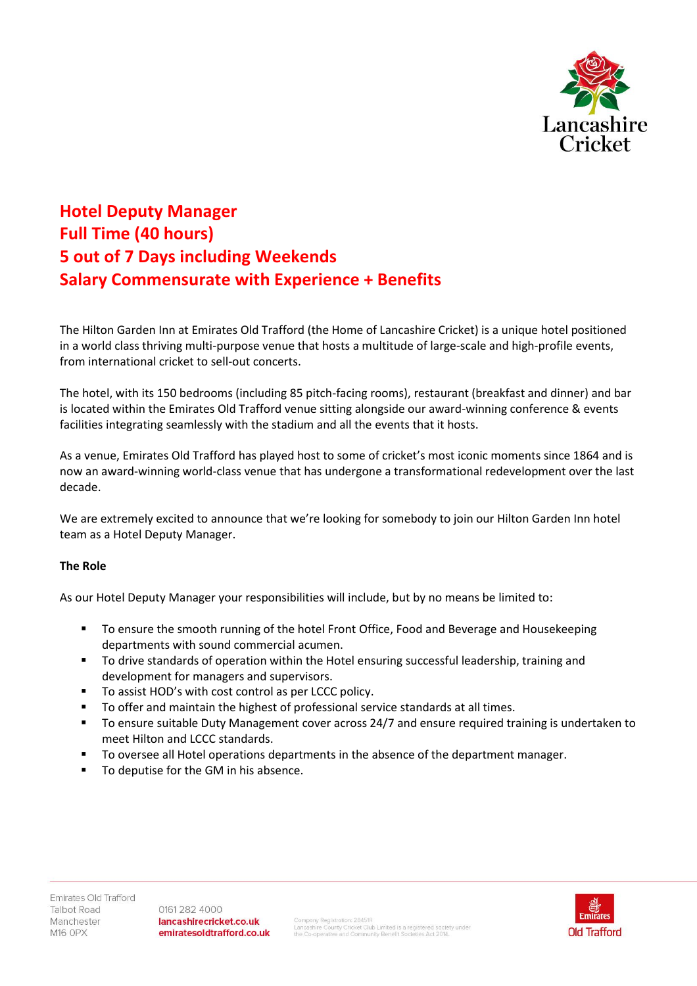

## **Hotel Deputy Manager Full Time (40 hours) 5 out of 7 Days including Weekends Salary Commensurate with Experience + Benefits**

The Hilton Garden Inn at Emirates Old Trafford (the Home of Lancashire Cricket) is a unique hotel positioned in a world class thriving multi-purpose venue that hosts a multitude of large-scale and high-profile events, from international cricket to sell-out concerts.

The hotel, with its 150 bedrooms (including 85 pitch-facing rooms), restaurant (breakfast and dinner) and bar is located within the Emirates Old Trafford venue sitting alongside our award-winning conference & events facilities integrating seamlessly with the stadium and all the events that it hosts.

As a venue, Emirates Old Trafford has played host to some of cricket's most iconic moments since 1864 and is now an award-winning world-class venue that has undergone a transformational redevelopment over the last decade.

We are extremely excited to announce that we're looking for somebody to join our Hilton Garden Inn hotel team as a Hotel Deputy Manager.

## **The Role**

As our Hotel Deputy Manager your responsibilities will include, but by no means be limited to:

- To ensure the smooth running of the hotel Front Office, Food and Beverage and Housekeeping departments with sound commercial acumen.
- To drive standards of operation within the Hotel ensuring successful leadership, training and development for managers and supervisors.
- To assist HOD's with cost control as per LCCC policy.
- To offer and maintain the highest of professional service standards at all times.
- To ensure suitable Duty Management cover across 24/7 and ensure required training is undertaken to meet Hilton and LCCC standards.
- To oversee all Hotel operations departments in the absence of the department manager.
- To deputise for the GM in his absence.

0161 282 4000 lancashirecricket.co.uk emiratesoldtrafford.co.uk